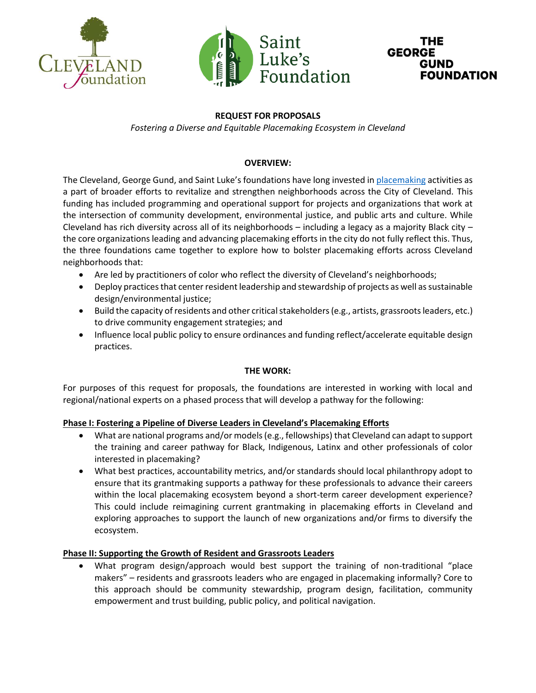





# **REQUEST FOR PROPOSALS**

*Fostering a Diverse and Equitable Placemaking Ecosystem in Cleveland*

## **OVERVIEW:**

The Cleveland, George Gund, and Saint Luke's foundations have long invested in [placemaking](https://www.pps.org/article/what-is-placemaking) activities as a part of broader efforts to revitalize and strengthen neighborhoods across the City of Cleveland. This funding has included programming and operational support for projects and organizations that work at the intersection of community development, environmental justice, and public arts and culture. While Cleveland has rich diversity across all of its neighborhoods  $-$  including a legacy as a majority Black city  $$ the core organizations leading and advancing placemaking efforts in the city do not fully reflect this. Thus, the three foundations came together to explore how to bolster placemaking efforts across Cleveland neighborhoods that:

- Are led by practitioners of color who reflect the diversity of Cleveland's neighborhoods;
- Deploy practices that center resident leadership and stewardship of projects as well as sustainable design/environmental justice;
- Build the capacity of residents and other critical stakeholders (e.g., artists, grassroots leaders, etc.) to drive community engagement strategies; and
- Influence local public policy to ensure ordinances and funding reflect/accelerate equitable design practices.

#### **THE WORK:**

For purposes of this request for proposals, the foundations are interested in working with local and regional/national experts on a phased process that will develop a pathway for the following:

#### **Phase I: Fostering a Pipeline of Diverse Leaders in Cleveland's Placemaking Efforts**

- What are national programs and/or models (e.g., fellowships) that Cleveland can adapt to support the training and career pathway for Black, Indigenous, Latinx and other professionals of color interested in placemaking?
- What best practices, accountability metrics, and/or standards should local philanthropy adopt to ensure that its grantmaking supports a pathway for these professionals to advance their careers within the local placemaking ecosystem beyond a short-term career development experience? This could include reimagining current grantmaking in placemaking efforts in Cleveland and exploring approaches to support the launch of new organizations and/or firms to diversify the ecosystem.

#### **Phase II: Supporting the Growth of Resident and Grassroots Leaders**

• What program design/approach would best support the training of non-traditional "place makers" – residents and grassroots leaders who are engaged in placemaking informally? Core to this approach should be community stewardship, program design, facilitation, community empowerment and trust building, public policy, and political navigation.